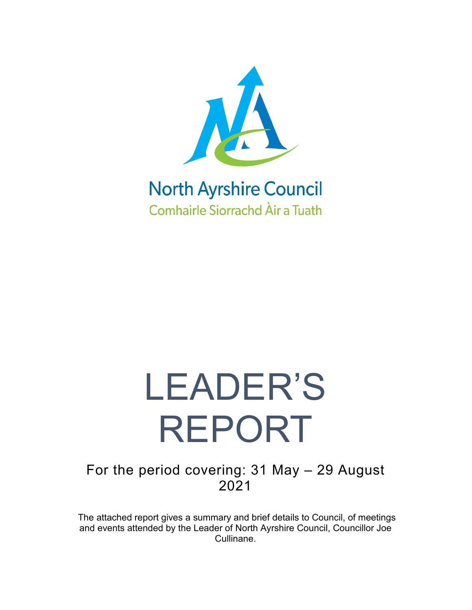

### **North Ayrshire Council Comhairle Siorrachd Àir a Tuath**

# LEADER'S REPORT

For the period covering: 31 May – 29 August 2021

The attached report gives a summary and brief details to Council, of meetings and events attended by the Leader of North Ayrshire Council, Councillor Joe Cullinane.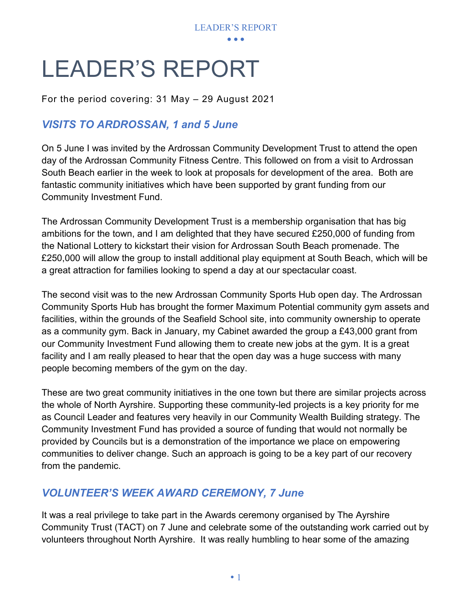

## LEADER'S REPORT

For the period covering: 31 May – 29 August 2021

#### *VISITS TO ARDROSSAN, 1 and 5 June*

On 5 June I was invited by the Ardrossan Community Development Trust to attend the open day of the Ardrossan Community Fitness Centre. This followed on from a visit to Ardrossan South Beach earlier in the week to look at proposals for development of the area. Both are fantastic community initiatives which have been supported by grant funding from our Community Investment Fund.

The Ardrossan Community Development Trust is a membership organisation that has big ambitions for the town, and I am delighted that they have secured £250,000 of funding from the National Lottery to kickstart their vision for Ardrossan South Beach promenade. The £250,000 will allow the group to install additional play equipment at South Beach, which will be a great attraction for families looking to spend a day at our spectacular coast.

The second visit was to the new Ardrossan Community Sports Hub open day. The Ardrossan Community Sports Hub has brought the former Maximum Potential community gym assets and facilities, within the grounds of the Seafield School site, into community ownership to operate as a community gym. Back in January, my Cabinet awarded the group a £43,000 grant from our Community Investment Fund allowing them to create new jobs at the gym. It is a great facility and I am really pleased to hear that the open day was a huge success with many people becoming members of the gym on the day.

These are two great community initiatives in the one town but there are similar projects across the whole of North Ayrshire. Supporting these community-led projects is a key priority for me as Council Leader and features very heavily in our Community Wealth Building strategy. The Community Investment Fund has provided a source of funding that would not normally be provided by Councils but is a demonstration of the importance we place on empowering communities to deliver change. Such an approach is going to be a key part of our recovery from the pandemic.

#### *VOLUNTEER'S WEEK AWARD CEREMONY, 7 June*

It was a real privilege to take part in the Awards ceremony organised by The Ayrshire Community Trust (TACT) on 7 June and celebrate some of the outstanding work carried out by volunteers throughout North Ayrshire. It was really humbling to hear some of the amazing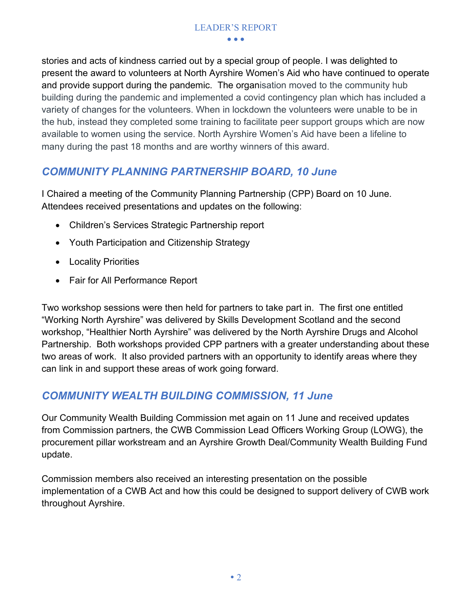stories and acts of kindness carried out by a special group of people. I was delighted to present the award to volunteers at North Ayrshire Women's Aid who have continued to operate and provide support during the pandemic. The organisation moved to the community hub building during the pandemic and implemented a covid contingency plan which has included a variety of changes for the volunteers. When in lockdown the volunteers were unable to be in the hub, instead they completed some training to facilitate peer support groups which are now available to women using the service. North Ayrshire Women's Aid have been a lifeline to many during the past 18 months and are worthy winners of this award.

#### *COMMUNITY PLANNING PARTNERSHIP BOARD, 10 June*

I Chaired a meeting of the Community Planning Partnership (CPP) Board on 10 June. Attendees received presentations and updates on the following:

- Children's Services Strategic Partnership report
- Youth Participation and Citizenship Strategy
- Locality Priorities
- Fair for All Performance Report

Two workshop sessions were then held for partners to take part in. The first one entitled "Working North Ayrshire" was delivered by Skills Development Scotland and the second workshop, "Healthier North Ayrshire" was delivered by the North Ayrshire Drugs and Alcohol Partnership. Both workshops provided CPP partners with a greater understanding about these two areas of work. It also provided partners with an opportunity to identify areas where they can link in and support these areas of work going forward.

#### *COMMUNITY WEALTH BUILDING COMMISSION, 11 June*

Our Community Wealth Building Commission met again on 11 June and received updates from Commission partners, the CWB Commission Lead Officers Working Group (LOWG), the procurement pillar workstream and an Ayrshire Growth Deal/Community Wealth Building Fund update.

Commission members also received an interesting presentation on the possible implementation of a CWB Act and how this could be designed to support delivery of CWB work throughout Ayrshire.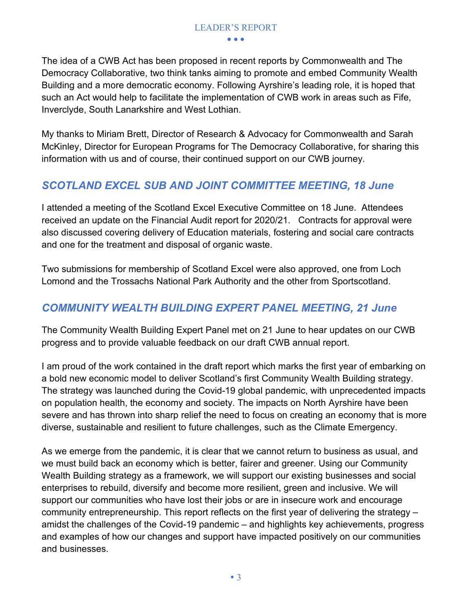#### LEADER'S REPORT

• • •

The idea of a CWB Act has been proposed in recent reports by Commonwealth and The Democracy Collaborative, two think tanks aiming to promote and embed Community Wealth Building and a more democratic economy. Following Ayrshire's leading role, it is hoped that such an Act would help to facilitate the implementation of CWB work in areas such as Fife, Inverclyde, South Lanarkshire and West Lothian.

My thanks to Miriam Brett, Director of Research & Advocacy for Commonwealth and Sarah McKinley, Director for European Programs for The Democracy Collaborative, for sharing this information with us and of course, their continued support on our CWB journey.

#### *SCOTLAND EXCEL SUB AND JOINT COMMITTEE MEETING, 18 June*

I attended a meeting of the Scotland Excel Executive Committee on 18 June. Attendees received an update on the Financial Audit report for 2020/21. Contracts for approval were also discussed covering delivery of Education materials, fostering and social care contracts and one for the treatment and disposal of organic waste.

Two submissions for membership of Scotland Excel were also approved, one from Loch Lomond and the Trossachs National Park Authority and the other from Sportscotland.

#### *COMMUNITY WEALTH BUILDING EXPERT PANEL MEETING, 21 June*

The Community Wealth Building Expert Panel met on 21 June to hear updates on our CWB progress and to provide valuable feedback on our draft CWB annual report.

I am proud of the work contained in the draft report which marks the first year of embarking on a bold new economic model to deliver Scotland's first Community Wealth Building strategy. The strategy was launched during the Covid-19 global pandemic, with unprecedented impacts on population health, the economy and society. The impacts on North Ayrshire have been severe and has thrown into sharp relief the need to focus on creating an economy that is more diverse, sustainable and resilient to future challenges, such as the Climate Emergency.

As we emerge from the pandemic, it is clear that we cannot return to business as usual, and we must build back an economy which is better, fairer and greener. Using our Community Wealth Building strategy as a framework, we will support our existing businesses and social enterprises to rebuild, diversify and become more resilient, green and inclusive. We will support our communities who have lost their jobs or are in insecure work and encourage community entrepreneurship. This report reflects on the first year of delivering the strategy – amidst the challenges of the Covid-19 pandemic – and highlights key achievements, progress and examples of how our changes and support have impacted positively on our communities and businesses.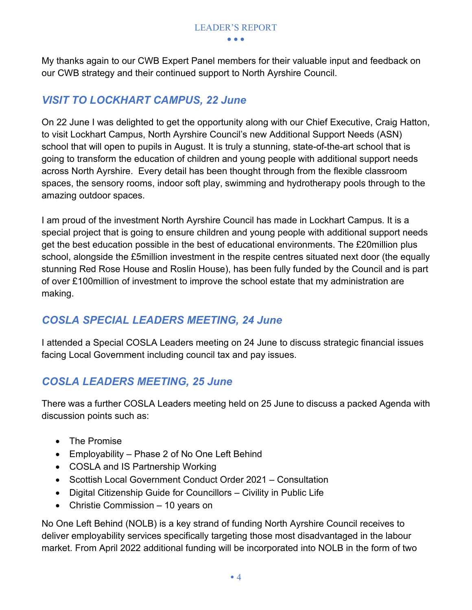My thanks again to our CWB Expert Panel members for their valuable input and feedback on our CWB strategy and their continued support to North Ayrshire Council.

#### *VISIT TO LOCKHART CAMPUS, 22 June*

On 22 June I was delighted to get the opportunity along with our Chief Executive, Craig Hatton, to visit Lockhart Campus, North Ayrshire Council's new Additional Support Needs (ASN) school that will open to pupils in August. It is truly a stunning, state-of-the-art school that is going to transform the education of children and young people with additional support needs across North Ayrshire. Every detail has been thought through from the flexible classroom spaces, the sensory rooms, indoor soft play, swimming and hydrotherapy pools through to the amazing outdoor spaces.

I am proud of the investment North Ayrshire Council has made in Lockhart Campus. It is a special project that is going to ensure children and young people with additional support needs get the best education possible in the best of educational environments. The £20million plus school, alongside the £5million investment in the respite centres situated next door (the equally stunning Red Rose House and Roslin House), has been fully funded by the Council and is part of over £100million of investment to improve the school estate that my administration are making.

#### *COSLA SPECIAL LEADERS MEETING, 24 June*

I attended a Special COSLA Leaders meeting on 24 June to discuss strategic financial issues facing Local Government including council tax and pay issues.

#### *COSLA LEADERS MEETING, 25 June*

There was a further COSLA Leaders meeting held on 25 June to discuss a packed Agenda with discussion points such as:

- The Promise
- Employability Phase 2 of No One Left Behind
- COSLA and IS Partnership Working
- Scottish Local Government Conduct Order 2021 Consultation
- Digital Citizenship Guide for Councillors Civility in Public Life
- Christie Commission 10 years on

No One Left Behind (NOLB) is a key strand of funding North Ayrshire Council receives to deliver employability services specifically targeting those most disadvantaged in the labour market. From April 2022 additional funding will be incorporated into NOLB in the form of two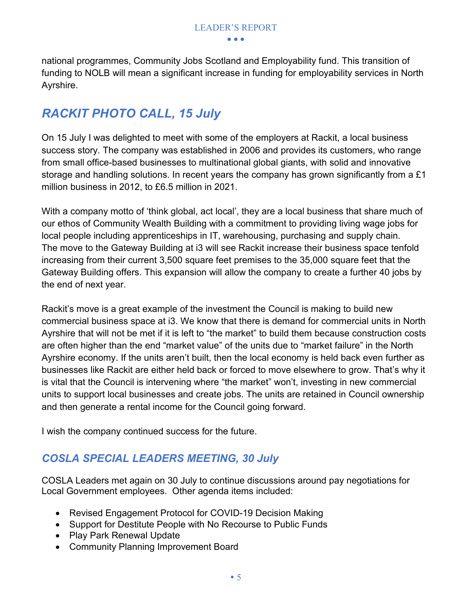national programmes, Community Jobs Scotland and Employability fund. This transition of funding to NOLB will mean a significant increase in funding for employability services in North Ayrshire.

#### *RACKIT PHOTO CALL, 15 July*

On 15 July I was delighted to meet with some of the employers at Rackit, a local business success story. The company was established in 2006 and provides its customers, who range from small office-based businesses to multinational global giants, with solid and innovative storage and handling solutions. In recent years the company has grown significantly from a £1 million business in 2012, to £6.5 million in 2021.

With a company motto of 'think global, act local', they are a local business that share much of our ethos of Community Wealth Building with a commitment to providing living wage jobs for local people including apprenticeships in IT, warehousing, purchasing and supply chain. The move to the Gateway Building at i3 will see Rackit increase their business space tenfold increasing from their current 3,500 square feet premises to the 35,000 square feet that the Gateway Building offers. This expansion will allow the company to create a further 40 jobs by the end of next year.

Rackit's move is a great example of the investment the Council is making to build new commercial business space at i3. We know that there is demand for commercial units in North Ayrshire that will not be met if it is left to "the market" to build them because construction costs are often higher than the end "market value" of the units due to "market failure" in the North Ayrshire economy. If the units aren't built, then the local economy is held back even further as businesses like Rackit are either held back or forced to move elsewhere to grow. That's why it is vital that the Council is intervening where "the market" won't, investing in new commercial units to support local businesses and create jobs. The units are retained in Council ownership and then generate a rental income for the Council going forward.

I wish the company continued success for the future.

#### *COSLA SPECIAL LEADERS MEETING, 30 July*

COSLA Leaders met again on 30 July to continue discussions around pay negotiations for Local Government employees. Other agenda items included:

- Revised Engagement Protocol for COVID-19 Decision Making
- Support for Destitute People with No Recourse to Public Funds
- Play Park Renewal Update
- Community Planning Improvement Board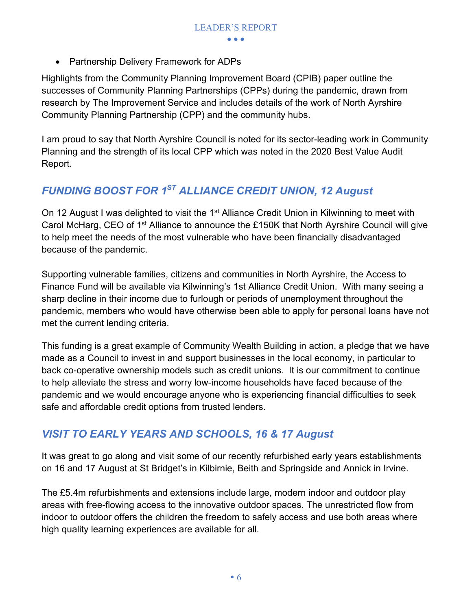• Partnership Delivery Framework for ADPs

Highlights from the Community Planning Improvement Board (CPIB) paper outline the successes of Community Planning Partnerships (CPPs) during the pandemic, drawn from research by The Improvement Service and includes details of the work of North Ayrshire Community Planning Partnership (CPP) and the community hubs.

I am proud to say that North Ayrshire Council is noted for its sector-leading work in Community Planning and the strength of its local CPP which was noted in the 2020 Best Value Audit Report.

#### *FUNDING BOOST FOR 1ST ALLIANCE CREDIT UNION, 12 August*

On 12 August I was delighted to visit the 1<sup>st</sup> Alliance Credit Union in Kilwinning to meet with Carol McHarg, CEO of 1<sup>st</sup> Alliance to announce the £150K that North Ayrshire Council will give to help meet the needs of the most vulnerable who have been financially disadvantaged because of the pandemic.

Supporting vulnerable families, citizens and communities in North Ayrshire, the Access to Finance Fund will be available via Kilwinning's 1st Alliance Credit Union. With many seeing a sharp decline in their income due to furlough or periods of unemployment throughout the pandemic, members who would have otherwise been able to apply for personal loans have not met the current lending criteria.

This funding is a great example of Community Wealth Building in action, a pledge that we have made as a Council to invest in and support businesses in the local economy, in particular to back co-operative ownership models such as credit unions. It is our commitment to continue to help alleviate the stress and worry low-income households have faced because of the pandemic and we would encourage anyone who is experiencing financial difficulties to seek safe and affordable credit options from trusted lenders.

#### *VISIT TO EARLY YEARS AND SCHOOLS, 16 & 17 August*

It was great to go along and visit some of our recently refurbished early years establishments on 16 and 17 August at St Bridget's in Kilbirnie, Beith and Springside and Annick in Irvine.

The £5.4m refurbishments and extensions include large, modern indoor and outdoor play areas with free-flowing access to the innovative outdoor spaces. The unrestricted flow from indoor to outdoor offers the children the freedom to safely access and use both areas where high quality learning experiences are available for all.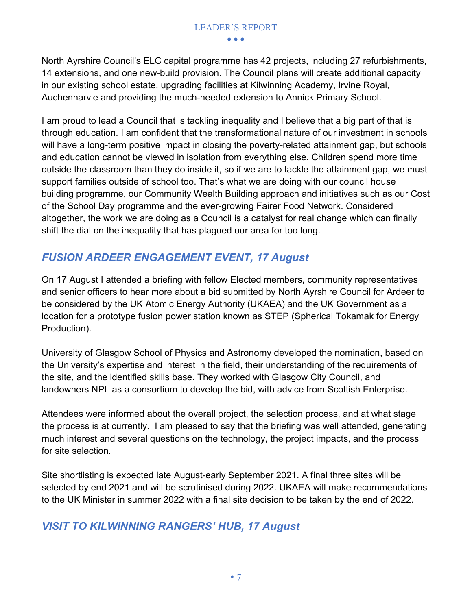#### LEADER'S REPORT

• • •

North Ayrshire Council's ELC capital programme has 42 projects, including 27 refurbishments, 14 extensions, and one new-build provision. The Council plans will create additional capacity in our existing school estate, upgrading facilities at Kilwinning Academy, Irvine Royal, Auchenharvie and providing the much-needed extension to Annick Primary School.

I am proud to lead a Council that is tackling inequality and I believe that a big part of that is through education. I am confident that the transformational nature of our investment in schools will have a long-term positive impact in closing the poverty-related attainment gap, but schools and education cannot be viewed in isolation from everything else. Children spend more time outside the classroom than they do inside it, so if we are to tackle the attainment gap, we must support families outside of school too. That's what we are doing with our council house building programme, our Community Wealth Building approach and initiatives such as our Cost of the School Day programme and the ever-growing Fairer Food Network. Considered altogether, the work we are doing as a Council is a catalyst for real change which can finally shift the dial on the inequality that has plagued our area for too long.

#### *FUSION ARDEER ENGAGEMENT EVENT, 17 August*

On 17 August I attended a briefing with fellow Elected members, community representatives and senior officers to hear more about a bid submitted by North Ayrshire Council for Ardeer to be considered by the UK Atomic Energy Authority (UKAEA) and the UK Government as a location for a prototype fusion power station known as STEP (Spherical Tokamak for Energy Production).

University of Glasgow School of Physics and Astronomy developed the nomination, based on the University's expertise and interest in the field, their understanding of the requirements of the site, and the identified skills base. They worked with Glasgow City Council, and landowners NPL as a consortium to develop the bid, with advice from Scottish Enterprise.

Attendees were informed about the overall project, the selection process, and at what stage the process is at currently. I am pleased to say that the briefing was well attended, generating much interest and several questions on the technology, the project impacts, and the process for site selection.

Site shortlisting is expected late August-early September 2021. A final three sites will be selected by end 2021 and will be scrutinised during 2022. UKAEA will make recommendations to the UK Minister in summer 2022 with a final site decision to be taken by the end of 2022.

#### *VISIT TO KILWINNING RANGERS' HUB, 17 August*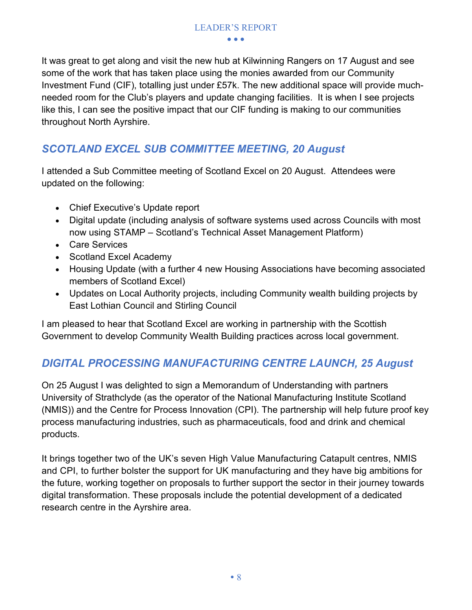It was great to get along and visit the new hub at Kilwinning Rangers on 17 August and see some of the work that has taken place using the monies awarded from our Community Investment Fund (CIF), totalling just under £57k. The new additional space will provide muchneeded room for the Club's players and update changing facilities. It is when I see projects like this, I can see the positive impact that our CIF funding is making to our communities throughout North Ayrshire.

#### *SCOTLAND EXCEL SUB COMMITTEE MEETING, 20 August*

I attended a Sub Committee meeting of Scotland Excel on 20 August. Attendees were updated on the following:

- Chief Executive's Update report
- Digital update (including analysis of software systems used across Councils with most now using STAMP – Scotland's Technical Asset Management Platform)
- Care Services
- Scotland Excel Academy
- Housing Update (with a further 4 new Housing Associations have becoming associated members of Scotland Excel)
- Updates on Local Authority projects, including Community wealth building projects by East Lothian Council and Stirling Council

I am pleased to hear that Scotland Excel are working in partnership with the Scottish Government to develop Community Wealth Building practices across local government.

#### *DIGITAL PROCESSING MANUFACTURING CENTRE LAUNCH, 25 August*

On 25 August I was delighted to sign a Memorandum of Understanding with partners University of Strathclyde (as the operator of the National Manufacturing Institute Scotland (NMIS)) and the Centre for Process Innovation (CPI). The partnership will help future proof key process manufacturing industries, such as pharmaceuticals, food and drink and chemical products.

It brings together two of the UK's seven High Value Manufacturing Catapult centres, NMIS and CPI, to further bolster the support for UK manufacturing and they have big ambitions for the future, working together on proposals to further support the sector in their journey towards digital transformation. These proposals include the potential development of a dedicated research centre in the Ayrshire area.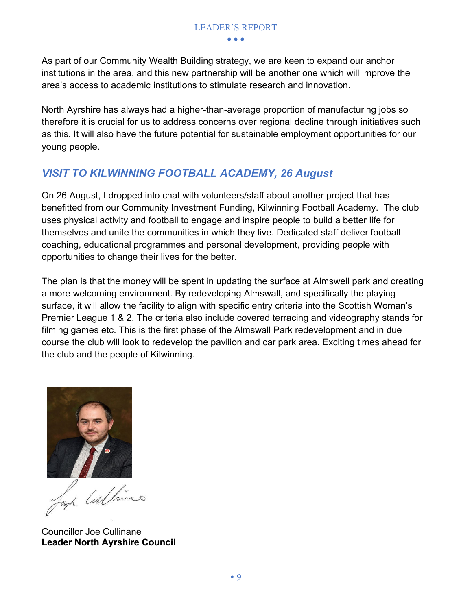As part of our Community Wealth Building strategy, we are keen to expand our anchor institutions in the area, and this new partnership will be another one which will improve the area's access to academic institutions to stimulate research and innovation.

North Ayrshire has always had a higher-than-average proportion of manufacturing jobs so therefore it is crucial for us to address concerns over regional decline through initiatives such as this. It will also have the future potential for sustainable employment opportunities for our young people.

#### *VISIT TO KILWINNING FOOTBALL ACADEMY, 26 August*

On 26 August, I dropped into chat with volunteers/staff about another project that has benefitted from our Community Investment Funding, Kilwinning Football Academy. The club uses physical activity and football to engage and inspire people to build a better life for themselves and unite the communities in which they live. Dedicated staff deliver football coaching, educational programmes and personal development, providing people with opportunities to change their lives for the better.

The plan is that the money will be spent in updating the surface at Almswell park and creating a more welcoming environment. By redeveloping Almswall, and specifically the playing surface, it will allow the facility to align with specific entry criteria into the Scottish Woman's Premier League 1 & 2. The criteria also include covered terracing and videography stands for filming games etc. This is the first phase of the Almswall Park redevelopment and in due course the club will look to redevelop the pavilion and car park area. Exciting times ahead for the club and the people of Kilwinning.



Josh Cultimes

 Councillor Joe Cullinane **Leader North Ayrshire Council**